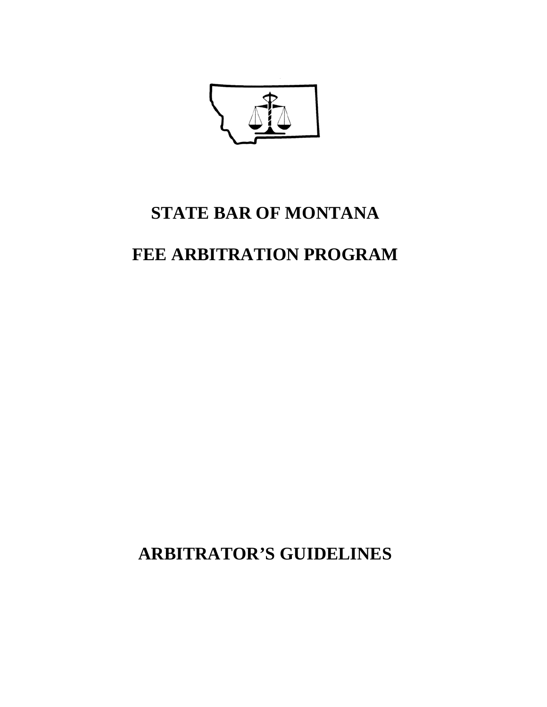

# **STATE BAR OF MONTANA**

# **FEE ARBITRATION PROGRAM**

**ARBITRATOR'S GUIDELINES**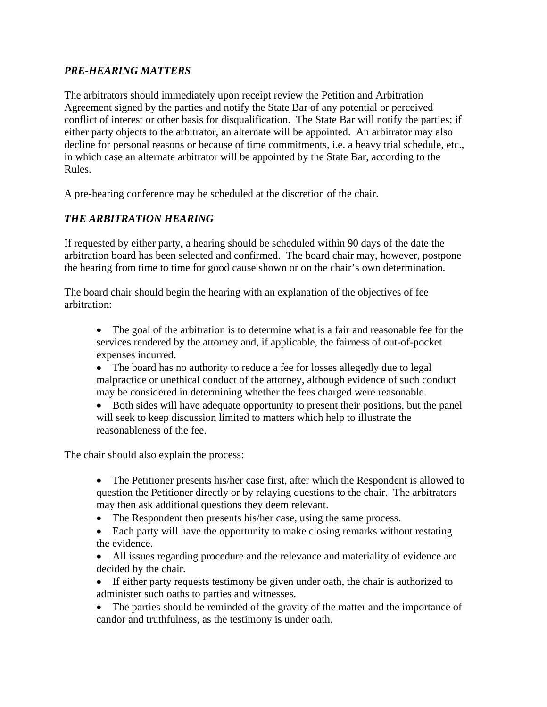## *PRE-HEARING MATTERS*

The arbitrators should immediately upon receipt review the Petition and Arbitration Agreement signed by the parties and notify the State Bar of any potential or perceived conflict of interest or other basis for disqualification. The State Bar will notify the parties; if either party objects to the arbitrator, an alternate will be appointed. An arbitrator may also decline for personal reasons or because of time commitments, i.e. a heavy trial schedule, etc., in which case an alternate arbitrator will be appointed by the State Bar, according to the Rules.

A pre-hearing conference may be scheduled at the discretion of the chair.

# *THE ARBITRATION HEARING*

If requested by either party, a hearing should be scheduled within 90 days of the date the arbitration board has been selected and confirmed. The board chair may, however, postpone the hearing from time to time for good cause shown or on the chair's own determination.

The board chair should begin the hearing with an explanation of the objectives of fee arbitration:

- The goal of the arbitration is to determine what is a fair and reasonable fee for the services rendered by the attorney and, if applicable, the fairness of out-of-pocket expenses incurred.
- The board has no authority to reduce a fee for losses allegedly due to legal malpractice or unethical conduct of the attorney, although evidence of such conduct may be considered in determining whether the fees charged were reasonable.
- Both sides will have adequate opportunity to present their positions, but the panel will seek to keep discussion limited to matters which help to illustrate the reasonableness of the fee.

The chair should also explain the process:

- The Petitioner presents his/her case first, after which the Respondent is allowed to question the Petitioner directly or by relaying questions to the chair. The arbitrators may then ask additional questions they deem relevant.
- The Respondent then presents his/her case, using the same process.
- Each party will have the opportunity to make closing remarks without restating the evidence.
- All issues regarding procedure and the relevance and materiality of evidence are decided by the chair.
- If either party requests testimony be given under oath, the chair is authorized to administer such oaths to parties and witnesses.
- The parties should be reminded of the gravity of the matter and the importance of candor and truthfulness, as the testimony is under oath.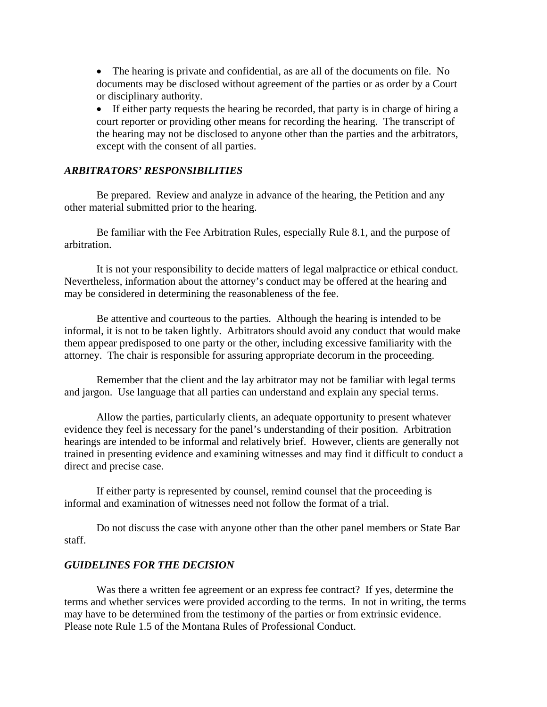• The hearing is private and confidential, as are all of the documents on file. No documents may be disclosed without agreement of the parties or as order by a Court or disciplinary authority.

• If either party requests the hearing be recorded, that party is in charge of hiring a court reporter or providing other means for recording the hearing. The transcript of the hearing may not be disclosed to anyone other than the parties and the arbitrators, except with the consent of all parties.

#### *ARBITRATORS' RESPONSIBILITIES*

 Be prepared. Review and analyze in advance of the hearing, the Petition and any other material submitted prior to the hearing.

 Be familiar with the Fee Arbitration Rules, especially Rule 8.1, and the purpose of arbitration.

 It is not your responsibility to decide matters of legal malpractice or ethical conduct. Nevertheless, information about the attorney's conduct may be offered at the hearing and may be considered in determining the reasonableness of the fee.

 Be attentive and courteous to the parties. Although the hearing is intended to be informal, it is not to be taken lightly. Arbitrators should avoid any conduct that would make them appear predisposed to one party or the other, including excessive familiarity with the attorney. The chair is responsible for assuring appropriate decorum in the proceeding.

 Remember that the client and the lay arbitrator may not be familiar with legal terms and jargon. Use language that all parties can understand and explain any special terms.

 Allow the parties, particularly clients, an adequate opportunity to present whatever evidence they feel is necessary for the panel's understanding of their position. Arbitration hearings are intended to be informal and relatively brief. However, clients are generally not trained in presenting evidence and examining witnesses and may find it difficult to conduct a direct and precise case.

 If either party is represented by counsel, remind counsel that the proceeding is informal and examination of witnesses need not follow the format of a trial.

 Do not discuss the case with anyone other than the other panel members or State Bar staff.

#### *GUIDELINES FOR THE DECISION*

Was there a written fee agreement or an express fee contract? If yes, determine the terms and whether services were provided according to the terms. In not in writing, the terms may have to be determined from the testimony of the parties or from extrinsic evidence. Please note Rule 1.5 of the Montana Rules of Professional Conduct.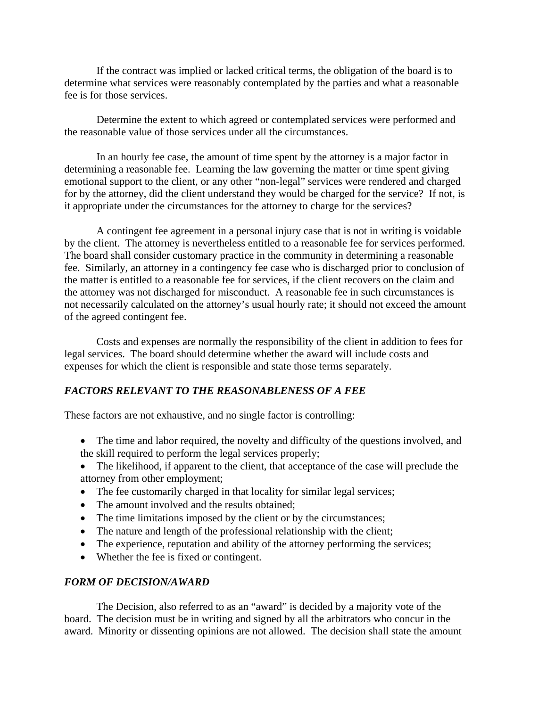If the contract was implied or lacked critical terms, the obligation of the board is to determine what services were reasonably contemplated by the parties and what a reasonable fee is for those services.

 Determine the extent to which agreed or contemplated services were performed and the reasonable value of those services under all the circumstances.

 In an hourly fee case, the amount of time spent by the attorney is a major factor in determining a reasonable fee. Learning the law governing the matter or time spent giving emotional support to the client, or any other "non-legal" services were rendered and charged for by the attorney, did the client understand they would be charged for the service? If not, is it appropriate under the circumstances for the attorney to charge for the services?

 A contingent fee agreement in a personal injury case that is not in writing is voidable by the client. The attorney is nevertheless entitled to a reasonable fee for services performed. The board shall consider customary practice in the community in determining a reasonable fee. Similarly, an attorney in a contingency fee case who is discharged prior to conclusion of the matter is entitled to a reasonable fee for services, if the client recovers on the claim and the attorney was not discharged for misconduct. A reasonable fee in such circumstances is not necessarily calculated on the attorney's usual hourly rate; it should not exceed the amount of the agreed contingent fee.

 Costs and expenses are normally the responsibility of the client in addition to fees for legal services. The board should determine whether the award will include costs and expenses for which the client is responsible and state those terms separately.

## *FACTORS RELEVANT TO THE REASONABLENESS OF A FEE*

These factors are not exhaustive, and no single factor is controlling:

- The time and labor required, the novelty and difficulty of the questions involved, and the skill required to perform the legal services properly;
- The likelihood, if apparent to the client, that acceptance of the case will preclude the attorney from other employment;
- The fee customarily charged in that locality for similar legal services;
- The amount involved and the results obtained:
- The time limitations imposed by the client or by the circumstances;
- The nature and length of the professional relationship with the client;
- The experience, reputation and ability of the attorney performing the services;
- Whether the fee is fixed or contingent.

## *FORM OF DECISION/AWARD*

 The Decision, also referred to as an "award" is decided by a majority vote of the board. The decision must be in writing and signed by all the arbitrators who concur in the award. Minority or dissenting opinions are not allowed. The decision shall state the amount